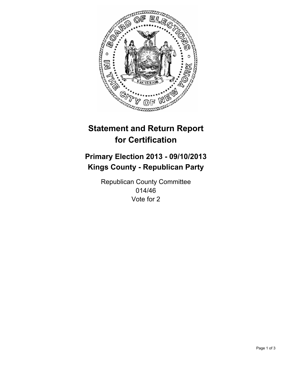

# **Statement and Return Report for Certification**

## **Primary Election 2013 - 09/10/2013 Kings County - Republican Party**

Republican County Committee 014/46 Vote for 2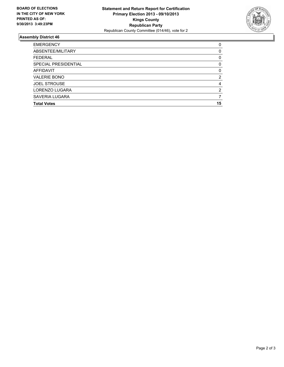

### **Assembly District 46**

| 0        |
|----------|
| 0        |
| 0        |
| 0        |
| $\Omega$ |
| 2        |
| 4        |
| 2        |
|          |
| 15       |
|          |